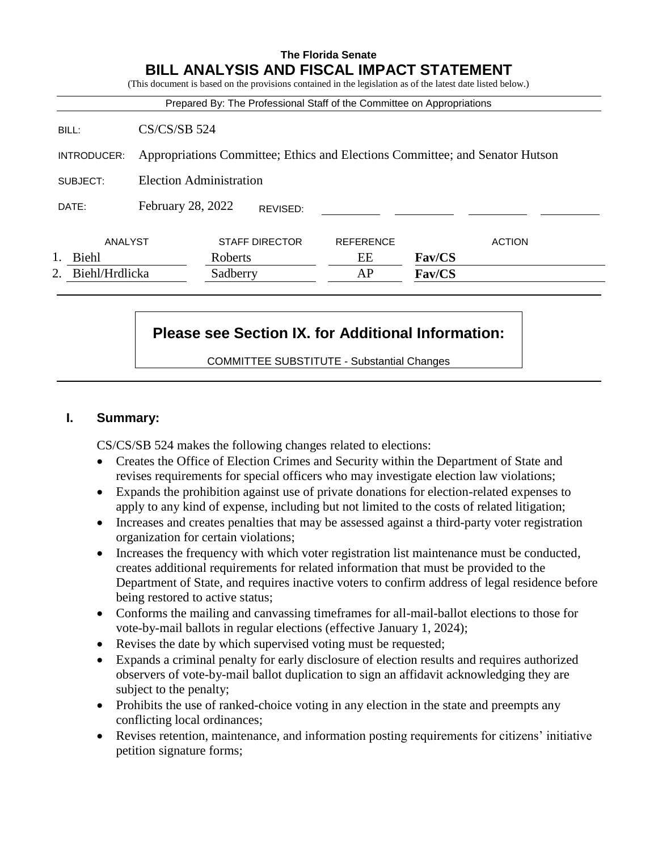# **The Florida Senate BILL ANALYSIS AND FISCAL IMPACT STATEMENT** (This document is based on the provisions contained in the legislation as of the latest date listed below.) Prepared By: The Professional Staff of the Committee on Appropriations BILL: CS/CS/SB 524 INTRODUCER: Appropriations Committee; Ethics and Elections Committee; and Senator Hutson SUBJECT: Election Administration DATE: February 28, 2022 ANALYST STAFF DIRECTOR REFERENCE ACTION 1. Biehl Roberts EE **Fav/CS** 2. Biehl/Hrdlicka Sadberry AP **Fav/CS** REVISED:

# **Please see Section IX. for Additional Information:**

COMMITTEE SUBSTITUTE - Substantial Changes

#### **I. Summary:**

CS/CS/SB 524 makes the following changes related to elections:

- Creates the Office of Election Crimes and Security within the Department of State and revises requirements for special officers who may investigate election law violations;
- Expands the prohibition against use of private donations for election-related expenses to apply to any kind of expense, including but not limited to the costs of related litigation;
- Increases and creates penalties that may be assessed against a third-party voter registration organization for certain violations;
- Increases the frequency with which voter registration list maintenance must be conducted, creates additional requirements for related information that must be provided to the Department of State, and requires inactive voters to confirm address of legal residence before being restored to active status;
- Conforms the mailing and canvassing timeframes for all-mail-ballot elections to those for vote-by-mail ballots in regular elections (effective January 1, 2024);
- Revises the date by which supervised voting must be requested;
- Expands a criminal penalty for early disclosure of election results and requires authorized observers of vote-by-mail ballot duplication to sign an affidavit acknowledging they are subject to the penalty;
- Prohibits the use of ranked-choice voting in any election in the state and preempts any conflicting local ordinances;
- Revises retention, maintenance, and information posting requirements for citizens' initiative petition signature forms;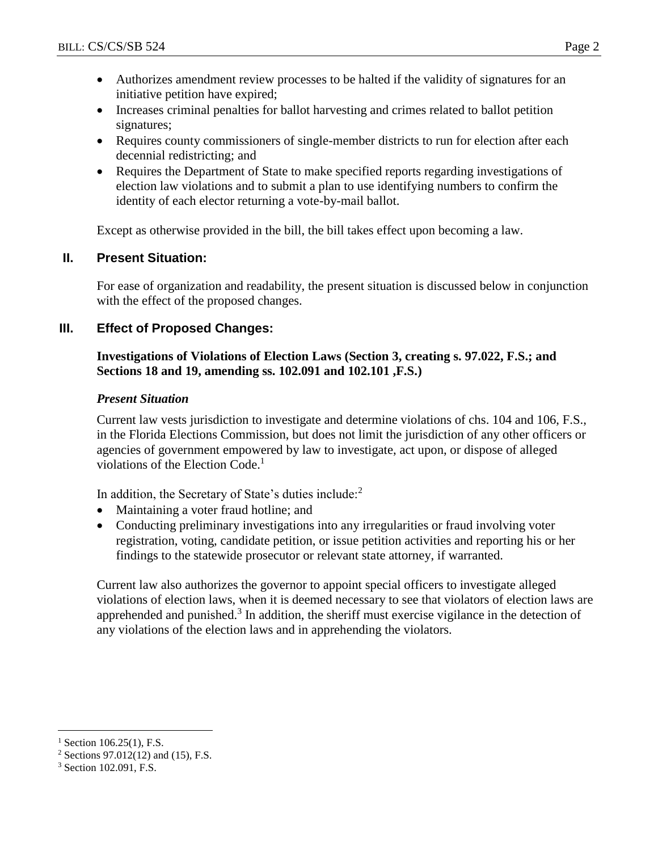- Authorizes amendment review processes to be halted if the validity of signatures for an initiative petition have expired;
- Increases criminal penalties for ballot harvesting and crimes related to ballot petition signatures;
- Requires county commissioners of single-member districts to run for election after each decennial redistricting; and
- Requires the Department of State to make specified reports regarding investigations of election law violations and to submit a plan to use identifying numbers to confirm the identity of each elector returning a vote-by-mail ballot.

Except as otherwise provided in the bill, the bill takes effect upon becoming a law.

# **II. Present Situation:**

For ease of organization and readability, the present situation is discussed below in conjunction with the effect of the proposed changes.

# **III. Effect of Proposed Changes:**

### **Investigations of Violations of Election Laws (Section 3, creating s. 97.022, F.S.; and Sections 18 and 19, amending ss. 102.091 and 102.101 ,F.S.)**

### *Present Situation*

Current law vests jurisdiction to investigate and determine violations of chs. 104 and 106, F.S., in the Florida Elections Commission, but does not limit the jurisdiction of any other officers or agencies of government empowered by law to investigate, act upon, or dispose of alleged violations of the Election Code. 1

In addition, the Secretary of State's duties include:<sup>2</sup>

- Maintaining a voter fraud hotline; and
- Conducting preliminary investigations into any irregularities or fraud involving voter registration, voting, candidate petition, or issue petition activities and reporting his or her findings to the statewide prosecutor or relevant state attorney, if warranted.

Current law also authorizes the governor to appoint special officers to investigate alleged violations of election laws, when it is deemed necessary to see that violators of election laws are apprehended and punished.<sup>3</sup> In addition, the sheriff must exercise vigilance in the detection of any violations of the election laws and in apprehending the violators.

 $\overline{a}$  $1$  Section 106.25(1), F.S.

 $2$  Sections 97.012(12) and (15), F.S.

<sup>3</sup> Section 102.091, F.S.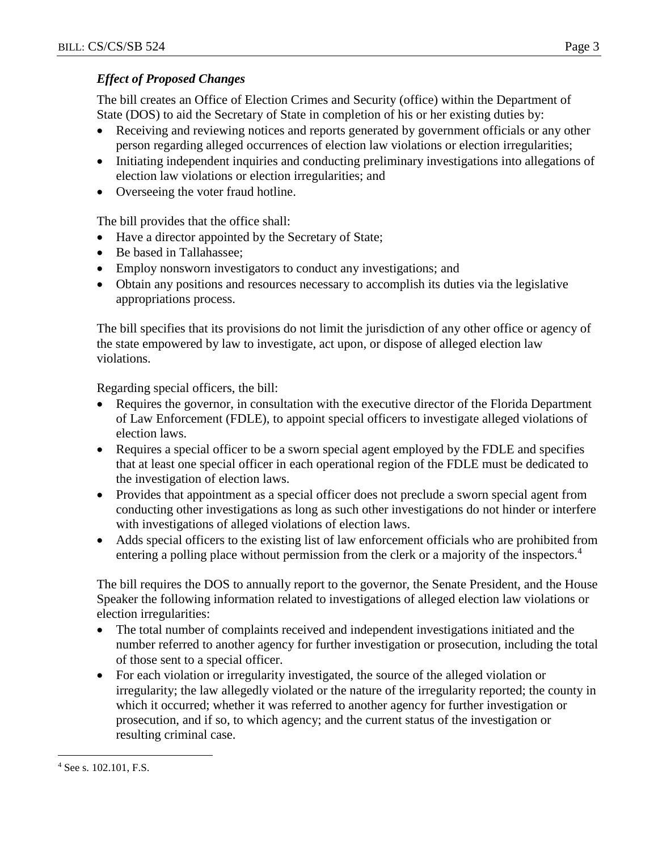### *Effect of Proposed Changes*

The bill creates an Office of Election Crimes and Security (office) within the Department of State (DOS) to aid the Secretary of State in completion of his or her existing duties by:

- Receiving and reviewing notices and reports generated by government officials or any other person regarding alleged occurrences of election law violations or election irregularities;
- Initiating independent inquiries and conducting preliminary investigations into allegations of election law violations or election irregularities; and
- Overseeing the voter fraud hotline.

The bill provides that the office shall:

- Have a director appointed by the Secretary of State;
- Be based in Tallahassee;
- Employ nonsworn investigators to conduct any investigations; and
- Obtain any positions and resources necessary to accomplish its duties via the legislative appropriations process.

The bill specifies that its provisions do not limit the jurisdiction of any other office or agency of the state empowered by law to investigate, act upon, or dispose of alleged election law violations.

Regarding special officers, the bill:

- Requires the governor, in consultation with the executive director of the Florida Department of Law Enforcement (FDLE), to appoint special officers to investigate alleged violations of election laws.
- Requires a special officer to be a sworn special agent employed by the FDLE and specifies that at least one special officer in each operational region of the FDLE must be dedicated to the investigation of election laws.
- Provides that appointment as a special officer does not preclude a sworn special agent from conducting other investigations as long as such other investigations do not hinder or interfere with investigations of alleged violations of election laws.
- Adds special officers to the existing list of law enforcement officials who are prohibited from entering a polling place without permission from the clerk or a majority of the inspectors.<sup>4</sup>

The bill requires the DOS to annually report to the governor, the Senate President, and the House Speaker the following information related to investigations of alleged election law violations or election irregularities:

- The total number of complaints received and independent investigations initiated and the number referred to another agency for further investigation or prosecution, including the total of those sent to a special officer.
- For each violation or irregularity investigated, the source of the alleged violation or irregularity; the law allegedly violated or the nature of the irregularity reported; the county in which it occurred; whether it was referred to another agency for further investigation or prosecution, and if so, to which agency; and the current status of the investigation or resulting criminal case.

 $\overline{a}$ <sup>4</sup> See s. 102.101, F.S.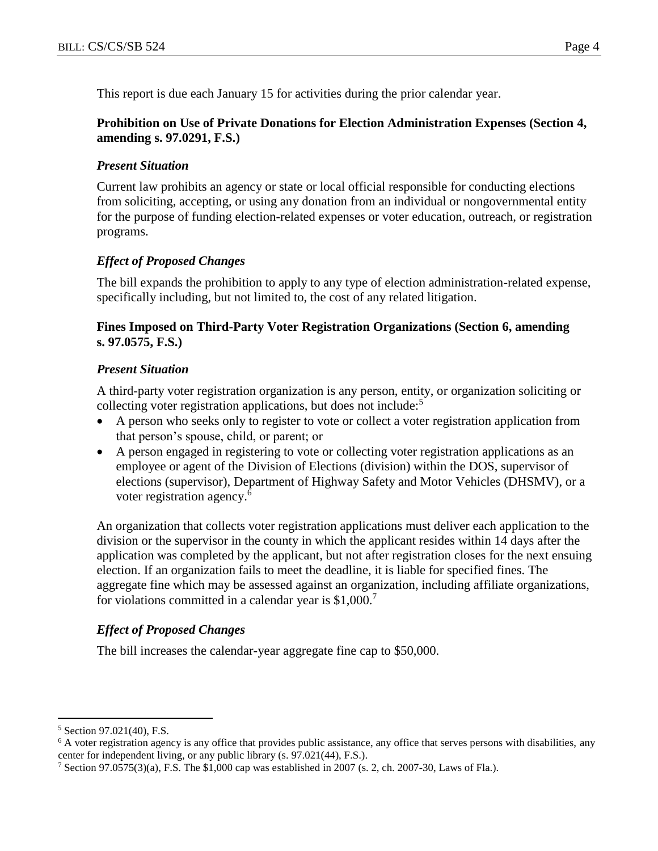This report is due each January 15 for activities during the prior calendar year.

#### **Prohibition on Use of Private Donations for Election Administration Expenses (Section 4, amending s. 97.0291, F.S.)**

#### *Present Situation*

Current law prohibits an agency or state or local official responsible for conducting elections from soliciting, accepting, or using any donation from an individual or nongovernmental entity for the purpose of funding election-related expenses or voter education, outreach, or registration programs.

### *Effect of Proposed Changes*

The bill expands the prohibition to apply to any type of election administration-related expense, specifically including, but not limited to, the cost of any related litigation.

#### **Fines Imposed on Third-Party Voter Registration Organizations (Section 6, amending s. 97.0575, F.S.)**

#### *Present Situation*

A third-party voter registration organization is any person, entity, or organization soliciting or collecting voter registration applications, but does not include:<sup>5</sup>

- A person who seeks only to register to vote or collect a voter registration application from that person's spouse, child, or parent; or
- A person engaged in registering to vote or collecting voter registration applications as an employee or agent of the Division of Elections (division) within the DOS, supervisor of elections (supervisor), Department of Highway Safety and Motor Vehicles (DHSMV), or a voter registration agency. 6

An organization that collects voter registration applications must deliver each application to the division or the supervisor in the county in which the applicant resides within 14 days after the application was completed by the applicant, but not after registration closes for the next ensuing election. If an organization fails to meet the deadline, it is liable for specified fines. The aggregate fine which may be assessed against an organization, including affiliate organizations, for violations committed in a calendar year is  $$1,000$ .<sup>7</sup>

### *Effect of Proposed Changes*

The bill increases the calendar-year aggregate fine cap to \$50,000.

 $\overline{a}$ 

<sup>5</sup> Section 97.021(40), F.S.

<sup>&</sup>lt;sup>6</sup> A voter registration agency is any office that provides public assistance, any office that serves persons with disabilities, any center for independent living, or any public library (s. 97.021(44), F.S.).

<sup>&</sup>lt;sup>7</sup> Section 97.0575(3)(a), F.S. The \$1,000 cap was established in 2007 (s. 2, ch. 2007-30, Laws of Fla.).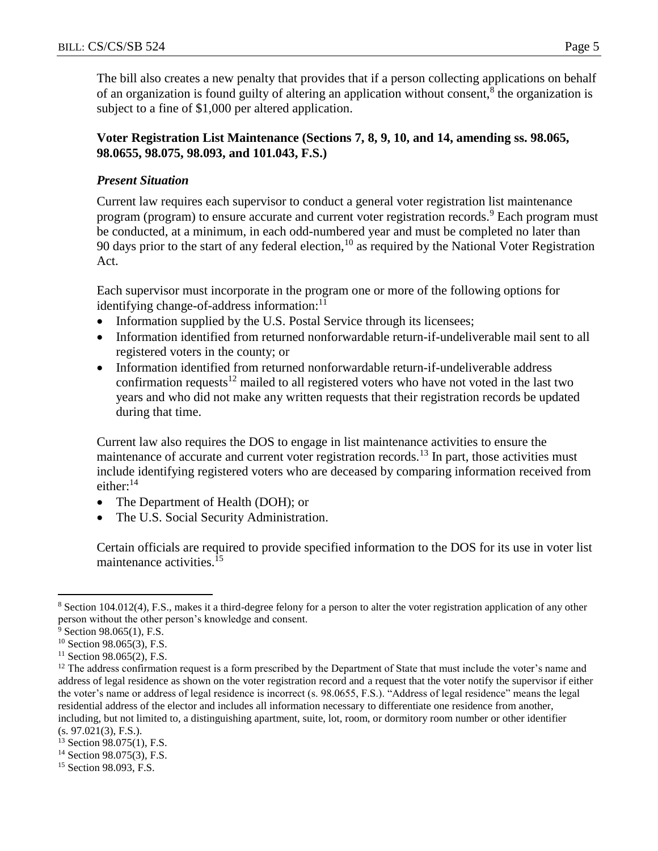The bill also creates a new penalty that provides that if a person collecting applications on behalf of an organization is found guilty of altering an application without consent,<sup>8</sup> the organization is subject to a fine of \$1,000 per altered application.

#### **Voter Registration List Maintenance (Sections 7, 8, 9, 10, and 14, amending ss. 98.065, 98.0655, 98.075, 98.093, and 101.043, F.S.)**

### *Present Situation*

Current law requires each supervisor to conduct a general voter registration list maintenance program (program) to ensure accurate and current voter registration records.<sup>9</sup> Each program must be conducted, at a minimum, in each odd-numbered year and must be completed no later than 90 days prior to the start of any federal election, <sup>10</sup> as required by the National Voter Registration Act.

Each supervisor must incorporate in the program one or more of the following options for identifying change-of-address information:<sup>11</sup>

- Information supplied by the U.S. Postal Service through its licensees;
- Information identified from returned nonforwardable return-if-undeliverable mail sent to all registered voters in the county; or
- Information identified from returned nonforwardable return-if-undeliverable address confirmation requests<sup>12</sup> mailed to all registered voters who have not voted in the last two years and who did not make any written requests that their registration records be updated during that time.

Current law also requires the DOS to engage in list maintenance activities to ensure the maintenance of accurate and current voter registration records.<sup>13</sup> In part, those activities must include identifying registered voters who are deceased by comparing information received from either:<sup>14</sup>

- The Department of Health (DOH); or
- The U.S. Social Security Administration.

Certain officials are required to provide specified information to the DOS for its use in voter list maintenance activities.<sup>15</sup>

 $\overline{a}$ <sup>8</sup> Section 104.012(4), F.S., makes it a third-degree felony for a person to alter the voter registration application of any other person without the other person's knowledge and consent.

 $9$  Section 98.065(1), F.S.

<sup>10</sup> Section 98.065(3), F.S.

 $11$  Section 98.065(2), F.S.

 $12$  The address confirmation request is a form prescribed by the Department of State that must include the voter's name and address of legal residence as shown on the voter registration record and a request that the voter notify the supervisor if either the voter's name or address of legal residence is incorrect (s. 98.0655, F.S.). "Address of legal residence" means the legal residential address of the elector and includes all information necessary to differentiate one residence from another, including, but not limited to, a distinguishing apartment, suite, lot, room, or dormitory room number or other identifier (s. 97.021(3), F.S.).

<sup>13</sup> Section 98.075(1), F.S.

<sup>&</sup>lt;sup>14</sup> Section 98.075(3), F.S.

<sup>15</sup> Section 98.093, F.S.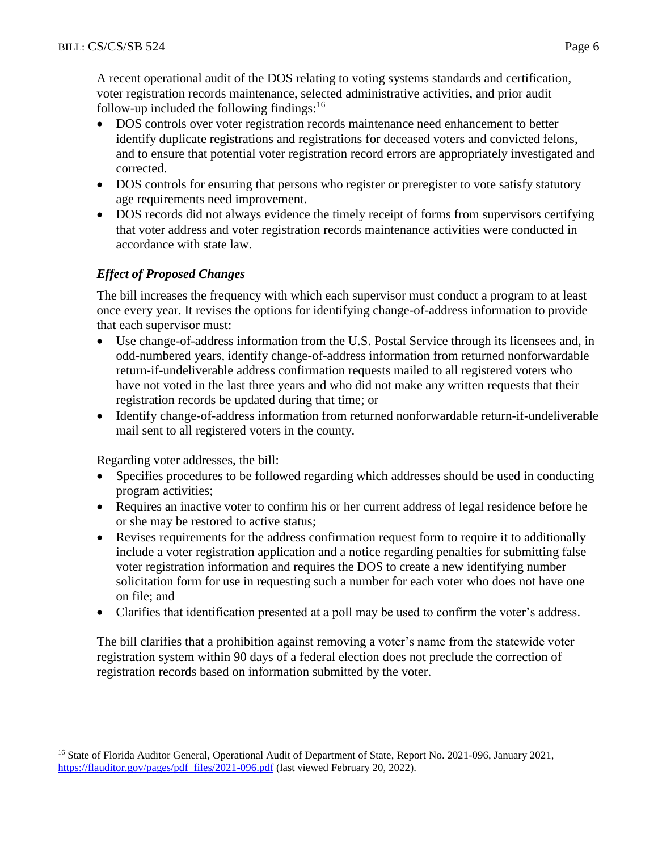A recent operational audit of the DOS relating to voting systems standards and certification, voter registration records maintenance, selected administrative activities, and prior audit follow-up included the following findings: $16$ 

- DOS controls over voter registration records maintenance need enhancement to better identify duplicate registrations and registrations for deceased voters and convicted felons, and to ensure that potential voter registration record errors are appropriately investigated and corrected.
- DOS controls for ensuring that persons who register or preregister to vote satisfy statutory age requirements need improvement.
- DOS records did not always evidence the timely receipt of forms from supervisors certifying that voter address and voter registration records maintenance activities were conducted in accordance with state law.

# *Effect of Proposed Changes*

The bill increases the frequency with which each supervisor must conduct a program to at least once every year. It revises the options for identifying change-of-address information to provide that each supervisor must:

- Use change-of-address information from the U.S. Postal Service through its licensees and, in odd-numbered years, identify change-of-address information from returned nonforwardable return-if-undeliverable address confirmation requests mailed to all registered voters who have not voted in the last three years and who did not make any written requests that their registration records be updated during that time; or
- Identify change-of-address information from returned nonforwardable return-if-undeliverable mail sent to all registered voters in the county.

Regarding voter addresses, the bill:

 $\overline{a}$ 

- Specifies procedures to be followed regarding which addresses should be used in conducting program activities;
- Requires an inactive voter to confirm his or her current address of legal residence before he or she may be restored to active status;
- Revises requirements for the address confirmation request form to require it to additionally include a voter registration application and a notice regarding penalties for submitting false voter registration information and requires the DOS to create a new identifying number solicitation form for use in requesting such a number for each voter who does not have one on file; and
- Clarifies that identification presented at a poll may be used to confirm the voter's address.

The bill clarifies that a prohibition against removing a voter's name from the statewide voter registration system within 90 days of a federal election does not preclude the correction of registration records based on information submitted by the voter.

<sup>&</sup>lt;sup>16</sup> State of Florida Auditor General, Operational Audit of Department of State, Report No. 2021-096, January 2021, [https://flauditor.gov/pages/pdf\\_files/2021-096.pdf](https://flauditor.gov/pages/pdf_files/2021-096.pdf) (last viewed February 20, 2022).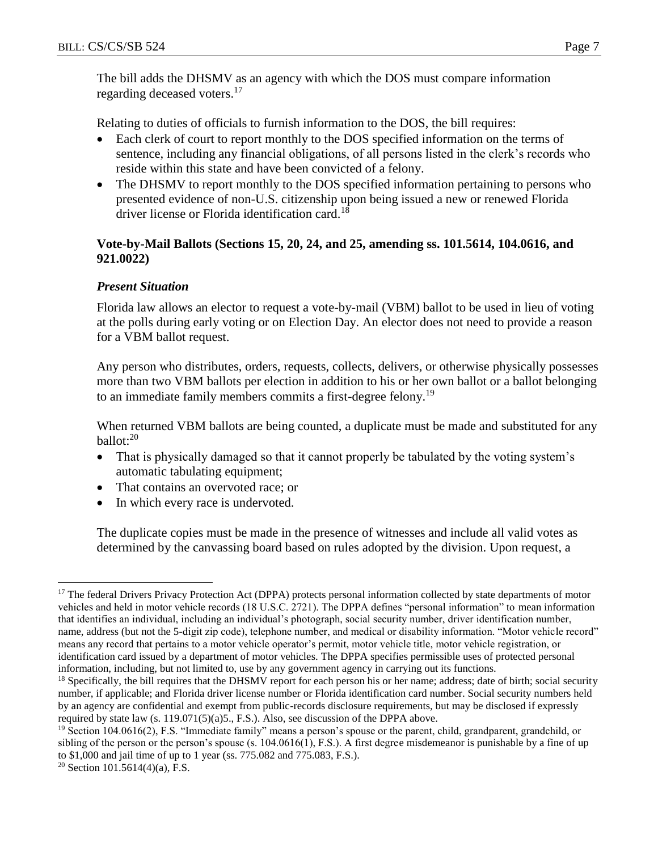The bill adds the DHSMV as an agency with which the DOS must compare information regarding deceased voters.<sup>17</sup>

Relating to duties of officials to furnish information to the DOS, the bill requires:

- Each clerk of court to report monthly to the DOS specified information on the terms of sentence, including any financial obligations, of all persons listed in the clerk's records who reside within this state and have been convicted of a felony.
- The DHSMV to report monthly to the DOS specified information pertaining to persons who presented evidence of non-U.S. citizenship upon being issued a new or renewed Florida driver license or Florida identification card.<sup>18</sup>

### **Vote-by-Mail Ballots (Sections 15, 20, 24, and 25, amending ss. 101.5614, 104.0616, and 921.0022)**

### *Present Situation*

Florida law allows an elector to request a vote-by-mail (VBM) ballot to be used in lieu of voting at the polls during early voting or on Election Day. An elector does not need to provide a reason for a VBM ballot request.

Any person who distributes, orders, requests, collects, delivers, or otherwise physically possesses more than two VBM ballots per election in addition to his or her own ballot or a ballot belonging to an immediate family members commits a first-degree felony.<sup>19</sup>

When returned VBM ballots are being counted, a duplicate must be made and substituted for any  $ballot: <sup>20</sup>$ 

- That is physically damaged so that it cannot properly be tabulated by the voting system's automatic tabulating equipment;
- That contains an overvoted race; or
- In which every race is undervoted.

The duplicate copies must be made in the presence of witnesses and include all valid votes as determined by the canvassing board based on rules adopted by the division. Upon request, a

 $\overline{a}$ <sup>17</sup> The federal Drivers Privacy Protection Act (DPPA) protects personal information collected by state departments of motor vehicles and held in motor vehicle records (18 U.S.C. 2721). The DPPA defines "personal information" to mean information that identifies an individual, including an individual's photograph, social security number, driver identification number, name, address (but not the 5-digit zip code), telephone number, and medical or disability information. "Motor vehicle record" means any record that pertains to a motor vehicle operator's permit, motor vehicle title, motor vehicle registration, or identification card issued by a department of motor vehicles. The DPPA specifies permissible uses of protected personal information, including, but not limited to, use by any government agency in carrying out its functions.

<sup>&</sup>lt;sup>18</sup> Specifically, the bill requires that the DHSMV report for each person his or her name; address; date of birth; social security number, if applicable; and Florida driver license number or Florida identification card number. Social security numbers held by an agency are confidential and exempt from public-records disclosure requirements, but may be disclosed if expressly required by state law  $(s. 119.071(5)(a)5., F.S.).$  Also, see discussion of the DPPA above.

<sup>&</sup>lt;sup>19</sup> Section 104.0616(2), F.S. "Immediate family" means a person's spouse or the parent, child, grandparent, grandchild, or sibling of the person or the person's spouse  $(s. 104.0616(1), F.S.)$ . A first degree misdemeanor is punishable by a fine of up to \$1,000 and jail time of up to 1 year (ss. 775.082 and 775.083, F.S.).

<sup>&</sup>lt;sup>20</sup> Section 101.5614(4)(a), F.S.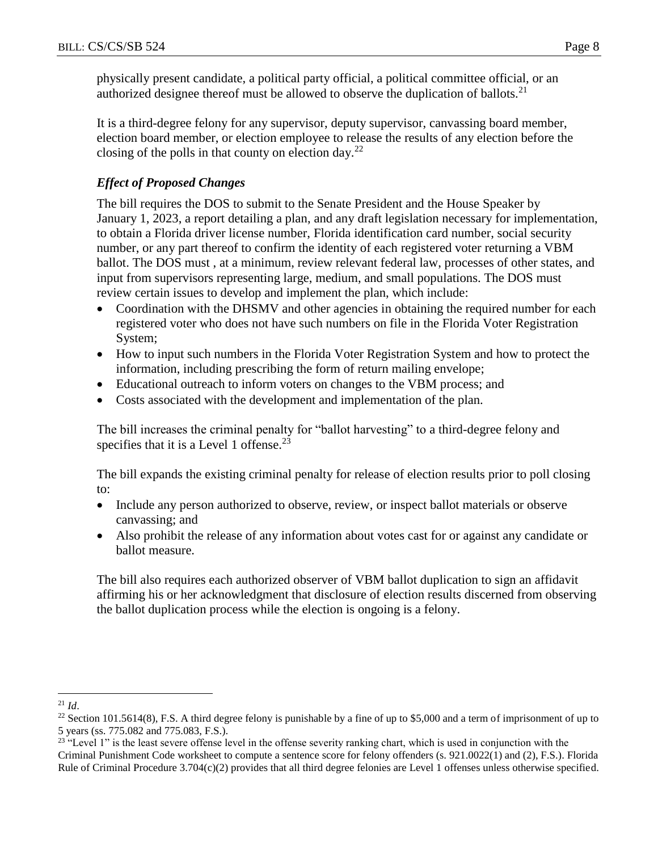physically present candidate, a political party official, a political committee official, or an authorized designee thereof must be allowed to observe the duplication of ballots.<sup>21</sup>

It is a third-degree felony for any supervisor, deputy supervisor, canvassing board member, election board member, or election employee to release the results of any election before the closing of the polls in that county on election day.<sup>22</sup>

# *Effect of Proposed Changes*

The bill requires the DOS to submit to the Senate President and the House Speaker by January 1, 2023, a report detailing a plan, and any draft legislation necessary for implementation, to obtain a Florida driver license number, Florida identification card number, social security number, or any part thereof to confirm the identity of each registered voter returning a VBM ballot. The DOS must , at a minimum, review relevant federal law, processes of other states, and input from supervisors representing large, medium, and small populations. The DOS must review certain issues to develop and implement the plan, which include:

- Coordination with the DHSMV and other agencies in obtaining the required number for each registered voter who does not have such numbers on file in the Florida Voter Registration System;
- How to input such numbers in the Florida Voter Registration System and how to protect the information, including prescribing the form of return mailing envelope;
- Educational outreach to inform voters on changes to the VBM process; and
- Costs associated with the development and implementation of the plan.

The bill increases the criminal penalty for "ballot harvesting" to a third-degree felony and specifies that it is a Level 1 offense.<sup>23</sup>

The bill expands the existing criminal penalty for release of election results prior to poll closing to:

- Include any person authorized to observe, review, or inspect ballot materials or observe canvassing; and
- Also prohibit the release of any information about votes cast for or against any candidate or ballot measure.

The bill also requires each authorized observer of VBM ballot duplication to sign an affidavit affirming his or her acknowledgment that disclosure of election results discerned from observing the ballot duplication process while the election is ongoing is a felony.

 $\overline{a}$  $^{21}$  *Id.* 

<sup>&</sup>lt;sup>22</sup> Section 101.5614(8), F.S. A third degree felony is punishable by a fine of up to \$5,000 and a term of imprisonment of up to 5 years (ss. 775.082 and 775.083, F.S.).

<sup>&</sup>lt;sup>23</sup> "Level 1" is the least severe offense level in the offense severity ranking chart, which is used in conjunction with the Criminal Punishment Code worksheet to compute a sentence score for felony offenders (s. 921.0022(1) and (2), F.S.). Florida Rule of Criminal Procedure 3.704(c)(2) provides that all third degree felonies are Level 1 offenses unless otherwise specified.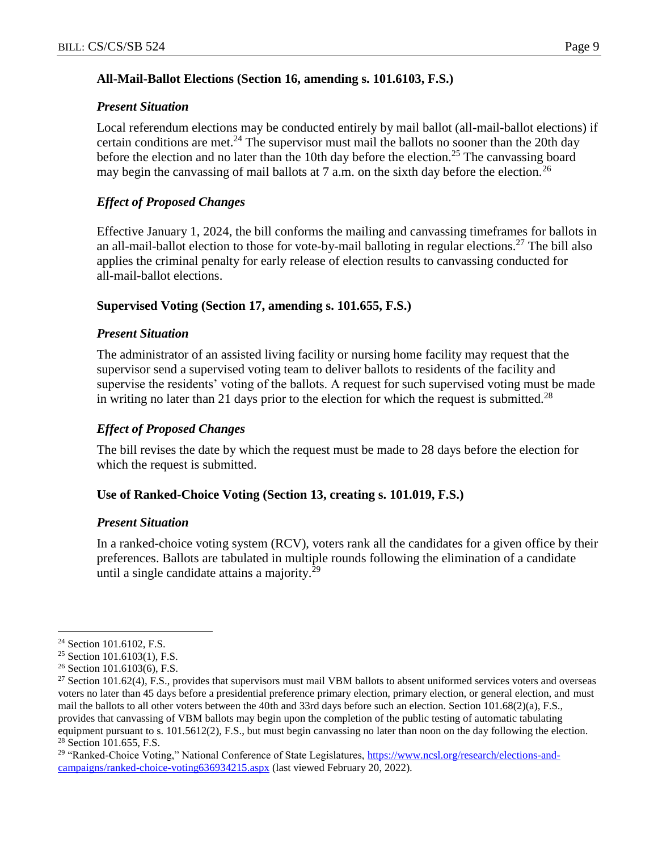### **All-Mail-Ballot Elections (Section 16, amending s. 101.6103, F.S.)**

### *Present Situation*

Local referendum elections may be conducted entirely by mail ballot (all-mail-ballot elections) if certain conditions are met.<sup>24</sup> The supervisor must mail the ballots no sooner than the 20th day before the election and no later than the 10th day before the election.<sup>25</sup> The canvassing board may begin the canvassing of mail ballots at 7 a.m. on the sixth day before the election.<sup>26</sup>

# *Effect of Proposed Changes*

Effective January 1, 2024, the bill conforms the mailing and canvassing timeframes for ballots in an all-mail-ballot election to those for vote-by-mail balloting in regular elections.<sup>27</sup> The bill also applies the criminal penalty for early release of election results to canvassing conducted for all-mail-ballot elections.

### **Supervised Voting (Section 17, amending s. 101.655, F.S.)**

### *Present Situation*

The administrator of an assisted living facility or nursing home facility may request that the supervisor send a supervised voting team to deliver ballots to residents of the facility and supervise the residents' voting of the ballots. A request for such supervised voting must be made in writing no later than 21 days prior to the election for which the request is submitted.<sup>28</sup>

# *Effect of Proposed Changes*

The bill revises the date by which the request must be made to 28 days before the election for which the request is submitted.

# **Use of Ranked-Choice Voting (Section 13, creating s. 101.019, F.S.)**

### *Present Situation*

In a ranked-choice voting system (RCV), voters rank all the candidates for a given office by their preferences. Ballots are tabulated in multiple rounds following the elimination of a candidate until a single candidate attains a majority. $29$ 

 $\overline{a}$ 

<sup>&</sup>lt;sup>24</sup> Section 101.6102, F.S.

<sup>25</sup> Section 101.6103(1), F.S.

<sup>26</sup> Section 101.6103(6), F.S.

<sup>&</sup>lt;sup>27</sup> Section 101.62(4), F.S., provides that supervisors must mail VBM ballots to absent uniformed services voters and overseas voters no later than 45 days before a presidential preference primary election, primary election, or general election, and must mail the ballots to all other voters between the 40th and 33rd days before such an election. Section 101.68(2)(a), F.S., provides that canvassing of VBM ballots may begin upon the completion of the public testing of automatic tabulating equipment pursuant to s. 101.5612(2), F.S., but must begin canvassing no later than noon on the day following the election. <sup>28</sup> Section 101.655, F.S.

<sup>&</sup>lt;sup>29</sup> "Ranked-Choice Voting," National Conference of State Legislatures, [https://www.ncsl.org/research/elections-and](https://www.ncsl.org/research/elections-and-campaigns/ranked-choice-voting636934215.aspx)[campaigns/ranked-choice-voting636934215.aspx](https://www.ncsl.org/research/elections-and-campaigns/ranked-choice-voting636934215.aspx) (last viewed February 20, 2022).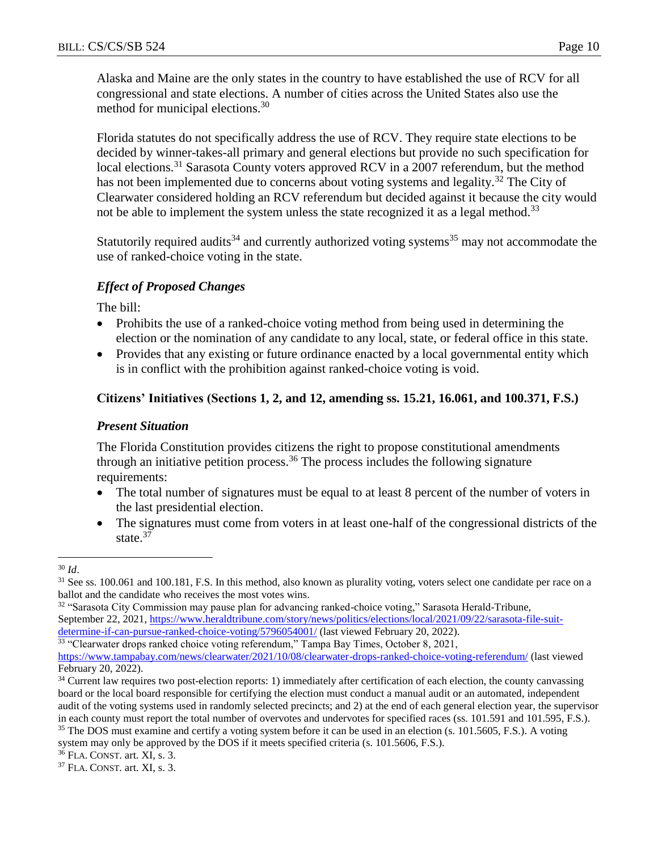Alaska and Maine are the only states in the country to have established the use of RCV for all congressional and state elections. A number of cities across the United States also use the method for municipal elections.<sup>30</sup>

Florida statutes do not specifically address the use of RCV. They require state elections to be decided by winner-takes-all primary and general elections but provide no such specification for local elections.<sup>31</sup> Sarasota County voters approved RCV in a 2007 referendum, but the method has not been implemented due to concerns about voting systems and legality.<sup>32</sup> The City of Clearwater considered holding an RCV referendum but decided against it because the city would not be able to implement the system unless the state recognized it as a legal method.<sup>33</sup>

Statutorily required audits<sup>34</sup> and currently authorized voting systems<sup>35</sup> may not accommodate the use of ranked-choice voting in the state.

### *Effect of Proposed Changes*

The bill:

- Prohibits the use of a ranked-choice voting method from being used in determining the election or the nomination of any candidate to any local, state, or federal office in this state.
- Provides that any existing or future ordinance enacted by a local governmental entity which is in conflict with the prohibition against ranked-choice voting is void.

### **Citizens' Initiatives (Sections 1, 2, and 12, amending ss. 15.21, 16.061, and 100.371, F.S.)**

#### *Present Situation*

The Florida Constitution provides citizens the right to propose constitutional amendments through an initiative petition process.<sup>36</sup> The process includes the following signature requirements:

- The total number of signatures must be equal to at least 8 percent of the number of voters in the last presidential election.
- The signatures must come from voters in at least one-half of the congressional districts of the state.<sup>37</sup>

 $\overline{a}$ 

<sup>32</sup> "Sarasota City Commission may pause plan for advancing ranked-choice voting," Sarasota Herald-Tribune, September 22, 2021, [https://www.heraldtribune.com/story/news/politics/elections/local/2021/09/22/sarasota-file-suit](https://www.heraldtribune.com/story/news/politics/elections/local/2021/09/22/sarasota-file-suit-determine-if-can-pursue-ranked-choice-voting/5796054001/)[determine-if-can-pursue-ranked-choice-voting/5796054001/](https://www.heraldtribune.com/story/news/politics/elections/local/2021/09/22/sarasota-file-suit-determine-if-can-pursue-ranked-choice-voting/5796054001/) (last viewed February 20, 2022).

<sup>33</sup> "Clearwater drops ranked choice voting referendum," Tampa Bay Times, October 8, 2021,

system may only be approved by the DOS if it meets specified criteria (s. 101.5606, F.S.).

<sup>30</sup> *Id*.

<sup>&</sup>lt;sup>31</sup> See ss. 100.061 and 100.181, F.S. In this method, also known as plurality voting, voters select one candidate per race on a ballot and the candidate who receives the most votes wins.

<https://www.tampabay.com/news/clearwater/2021/10/08/clearwater-drops-ranked-choice-voting-referendum/> (last viewed February 20, 2022).

<sup>&</sup>lt;sup>34</sup> Current law requires two post-election reports: 1) immediately after certification of each election, the county canvassing board or the local board responsible for certifying the election must conduct a manual audit or an automated, independent audit of the voting systems used in randomly selected precincts; and 2) at the end of each general election year, the supervisor in each county must report the total number of overvotes and undervotes for specified races (ss. 101.591 and 101.595, F.S.). <sup>35</sup> The DOS must examine and certify a voting system before it can be used in an election (s. 101.5605, F.S.). A voting

<sup>36</sup> FLA. CONST. art. XI, s. 3.

<sup>37</sup> FLA. CONST. art. XI, s. 3.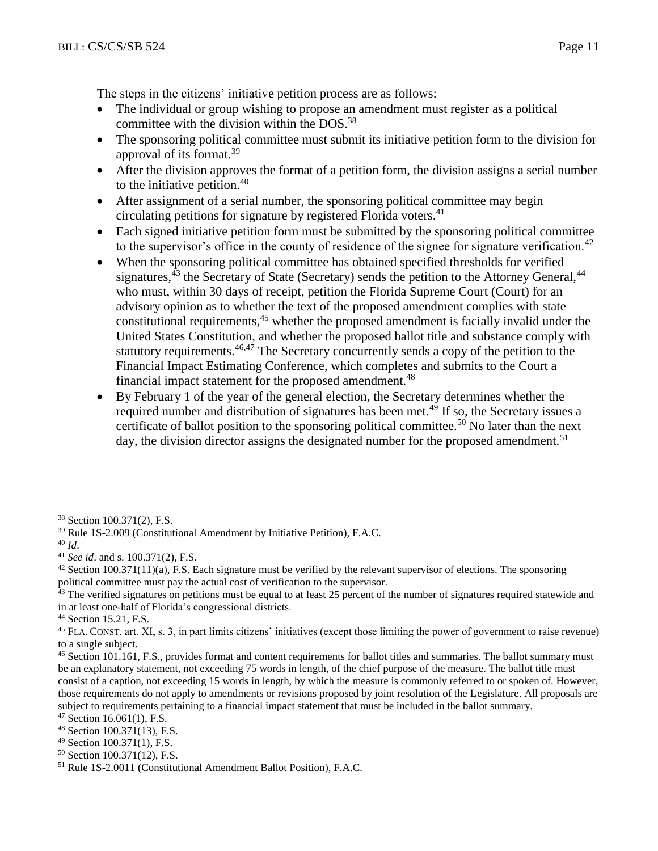The steps in the citizens' initiative petition process are as follows:

- The individual or group wishing to propose an amendment must register as a political committee with the division within the DOS.<sup>38</sup>
- The sponsoring political committee must submit its initiative petition form to the division for approval of its format.<sup>39</sup>
- After the division approves the format of a petition form, the division assigns a serial number to the initiative petition. $40$
- After assignment of a serial number, the sponsoring political committee may begin circulating petitions for signature by registered Florida voters.<sup>41</sup>
- Each signed initiative petition form must be submitted by the sponsoring political committee to the supervisor's office in the county of residence of the signee for signature verification.<sup>42</sup>
- When the sponsoring political committee has obtained specified thresholds for verified signatures,  $43$  the Secretary of State (Secretary) sends the petition to the Attorney General,  $44$ who must, within 30 days of receipt, petition the Florida Supreme Court (Court) for an advisory opinion as to whether the text of the proposed amendment complies with state constitutional requirements, <sup>45</sup> whether the proposed amendment is facially invalid under the United States Constitution, and whether the proposed ballot title and substance comply with statutory requirements.<sup>46,47</sup> The Secretary concurrently sends a copy of the petition to the Financial Impact Estimating Conference, which completes and submits to the Court a financial impact statement for the proposed amendment.<sup>48</sup>
- By February 1 of the year of the general election, the Secretary determines whether the required number and distribution of signatures has been met.<sup>49</sup> If so, the Secretary issues a certificate of ballot position to the sponsoring political committee.<sup>50</sup> No later than the next day, the division director assigns the designated number for the proposed amendment.<sup>51</sup>

 $\overline{a}$ 

<sup>50</sup> Section 100.371(12), F.S.

<sup>38</sup> Section 100.371(2), F.S.

<sup>39</sup> Rule 1S-2.009 (Constitutional Amendment by Initiative Petition), F.A.C.

<sup>40</sup> *Id*.

<sup>41</sup> *See id*. and s. 100.371(2), F.S.

 $42$  Section 100.371(11)(a), F.S. Each signature must be verified by the relevant supervisor of elections. The sponsoring political committee must pay the actual cost of verification to the supervisor.

<sup>&</sup>lt;sup>43</sup> The verified signatures on petitions must be equal to at least 25 percent of the number of signatures required statewide and in at least one-half of Florida's congressional districts.

<sup>44</sup> Section 15.21, F.S.

<sup>&</sup>lt;sup>45</sup> FLA. CONST. art. XI, s. 3, in part limits citizens' initiatives (except those limiting the power of government to raise revenue) to a single subject.

<sup>&</sup>lt;sup>46</sup> Section 101.161, F.S., provides format and content requirements for ballot titles and summaries. The ballot summary must be an explanatory statement, not exceeding 75 words in length, of the chief purpose of the measure. The ballot title must consist of a caption, not exceeding 15 words in length, by which the measure is commonly referred to or spoken of. However, those requirements do not apply to amendments or revisions proposed by joint resolution of the Legislature. All proposals are subject to requirements pertaining to a financial impact statement that must be included in the ballot summary.

 $47$  Section 16.061(1), F.S.

<sup>48</sup> Section 100.371(13), F.S.

<sup>49</sup> Section 100.371(1), F.S.

<sup>51</sup> Rule 1S-2.0011 (Constitutional Amendment Ballot Position), F.A.C.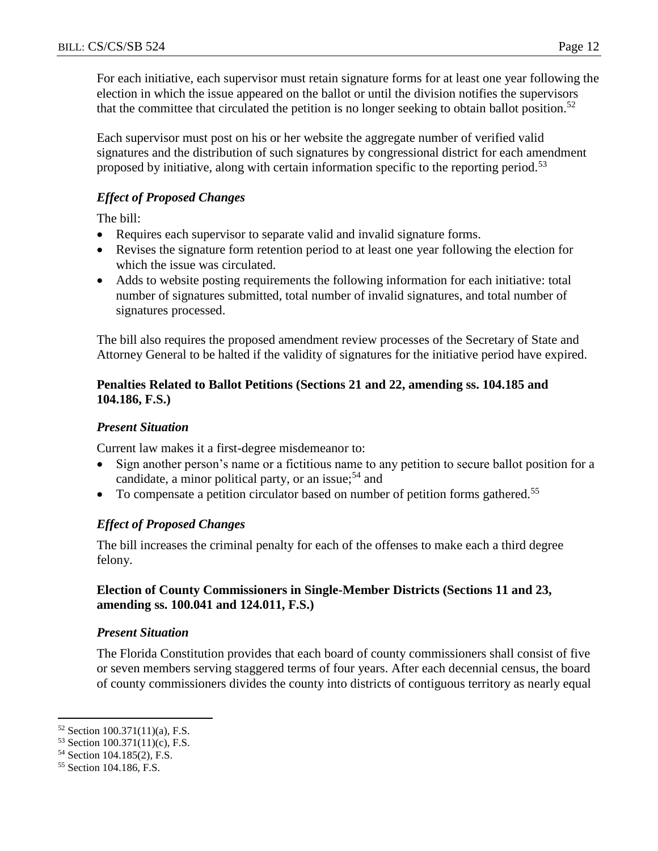For each initiative, each supervisor must retain signature forms for at least one year following the election in which the issue appeared on the ballot or until the division notifies the supervisors that the committee that circulated the petition is no longer seeking to obtain ballot position.<sup>52</sup>

Each supervisor must post on his or her website the aggregate number of verified valid signatures and the distribution of such signatures by congressional district for each amendment proposed by initiative, along with certain information specific to the reporting period.<sup>53</sup>

### *Effect of Proposed Changes*

The bill:

- Requires each supervisor to separate valid and invalid signature forms.
- Revises the signature form retention period to at least one year following the election for which the issue was circulated.
- Adds to website posting requirements the following information for each initiative: total number of signatures submitted, total number of invalid signatures, and total number of signatures processed.

The bill also requires the proposed amendment review processes of the Secretary of State and Attorney General to be halted if the validity of signatures for the initiative period have expired.

### **Penalties Related to Ballot Petitions (Sections 21 and 22, amending ss. 104.185 and 104.186, F.S.)**

### *Present Situation*

Current law makes it a first-degree misdemeanor to:

- Sign another person's name or a fictitious name to any petition to secure ballot position for a candidate, a minor political party, or an issue;<sup>54</sup> and
- $\bullet$  To compensate a petition circulator based on number of petition forms gathered.<sup>55</sup>

### *Effect of Proposed Changes*

The bill increases the criminal penalty for each of the offenses to make each a third degree felony.

#### **Election of County Commissioners in Single-Member Districts (Sections 11 and 23, amending ss. 100.041 and 124.011, F.S.)**

### *Present Situation*

The Florida Constitution provides that each board of county commissioners shall consist of five or seven members serving staggered terms of four years. After each decennial census, the board of county commissioners divides the county into districts of contiguous territory as nearly equal

 $\overline{a}$ <sup>52</sup> Section 100.371(11)(a), F.S.

<sup>53</sup> Section 100.371(11)(c), F.S.

<sup>54</sup> Section 104.185(2), F.S.

<sup>55</sup> Section 104.186, F.S.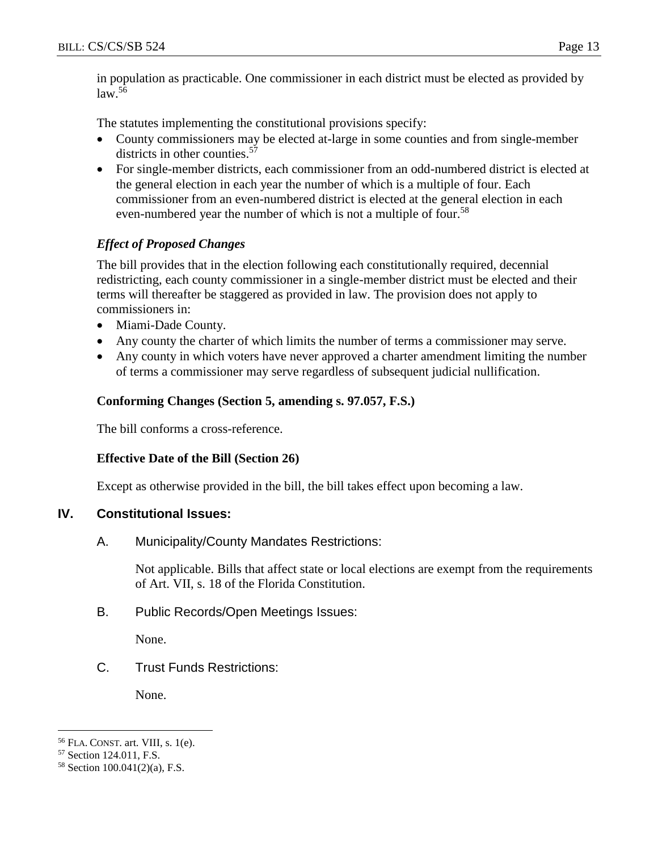$law<sup>56</sup>$ 

The statutes implementing the constitutional provisions specify:

- County commissioners may be elected at-large in some counties and from single-member districts in other counties.<sup>57</sup>
- For single-member districts, each commissioner from an odd-numbered district is elected at the general election in each year the number of which is a multiple of four. Each commissioner from an even-numbered district is elected at the general election in each even-numbered year the number of which is not a multiple of four.<sup>58</sup>

# *Effect of Proposed Changes*

The bill provides that in the election following each constitutionally required, decennial redistricting, each county commissioner in a single-member district must be elected and their terms will thereafter be staggered as provided in law. The provision does not apply to commissioners in:

- Miami-Dade County.
- Any county the charter of which limits the number of terms a commissioner may serve.
- Any county in which voters have never approved a charter amendment limiting the number of terms a commissioner may serve regardless of subsequent judicial nullification.

### **Conforming Changes (Section 5, amending s. 97.057, F.S.)**

The bill conforms a cross-reference.

### **Effective Date of the Bill (Section 26)**

Except as otherwise provided in the bill, the bill takes effect upon becoming a law.

### **IV. Constitutional Issues:**

A. Municipality/County Mandates Restrictions:

Not applicable. Bills that affect state or local elections are exempt from the requirements of Art. VII, s. 18 of the Florida Constitution.

B. Public Records/Open Meetings Issues:

None.

C. Trust Funds Restrictions:

None.

 $\overline{a}$ 

<sup>56</sup> FLA. CONST. art. VIII, s. 1(e).

<sup>57</sup> Section 124.011, F.S.

<sup>58</sup> Section 100.041(2)(a), F.S.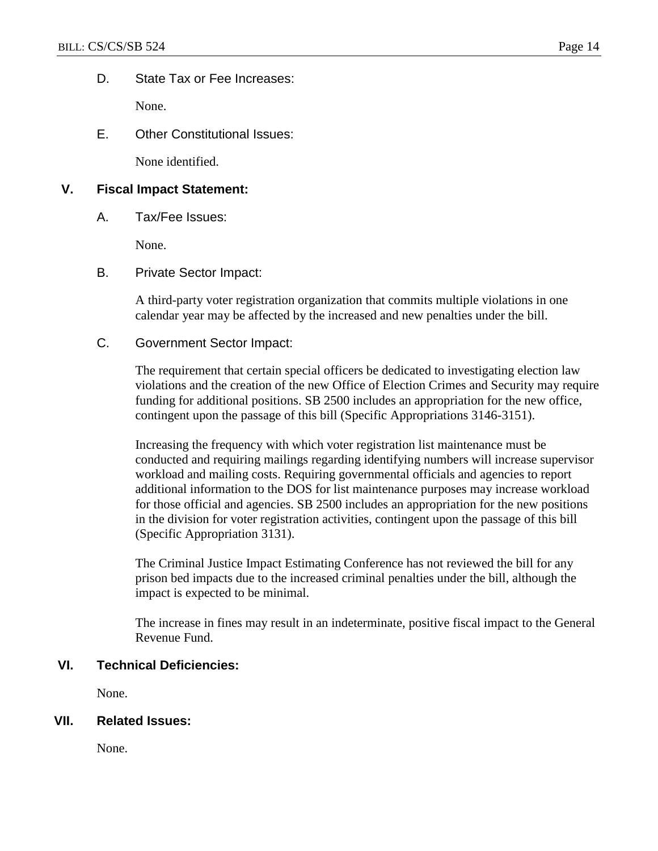D. State Tax or Fee Increases:

None.

E. Other Constitutional Issues:

None identified.

### **V. Fiscal Impact Statement:**

A. Tax/Fee Issues:

None.

B. Private Sector Impact:

A third-party voter registration organization that commits multiple violations in one calendar year may be affected by the increased and new penalties under the bill.

C. Government Sector Impact:

The requirement that certain special officers be dedicated to investigating election law violations and the creation of the new Office of Election Crimes and Security may require funding for additional positions. SB 2500 includes an appropriation for the new office, contingent upon the passage of this bill (Specific Appropriations 3146-3151).

Increasing the frequency with which voter registration list maintenance must be conducted and requiring mailings regarding identifying numbers will increase supervisor workload and mailing costs. Requiring governmental officials and agencies to report additional information to the DOS for list maintenance purposes may increase workload for those official and agencies. SB 2500 includes an appropriation for the new positions in the division for voter registration activities, contingent upon the passage of this bill (Specific Appropriation 3131).

The Criminal Justice Impact Estimating Conference has not reviewed the bill for any prison bed impacts due to the increased criminal penalties under the bill, although the impact is expected to be minimal.

The increase in fines may result in an indeterminate, positive fiscal impact to the General Revenue Fund.

#### **VI. Technical Deficiencies:**

None.

#### **VII. Related Issues:**

None.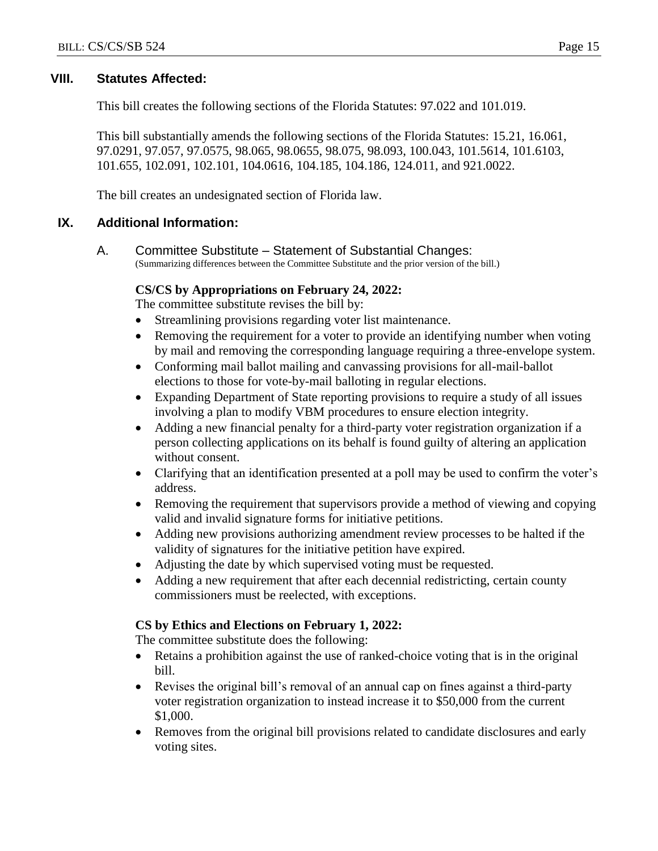#### **VIII. Statutes Affected:**

This bill creates the following sections of the Florida Statutes: 97.022 and 101.019.

This bill substantially amends the following sections of the Florida Statutes: 15.21, 16.061, 97.0291, 97.057, 97.0575, 98.065, 98.0655, 98.075, 98.093, 100.043, 101.5614, 101.6103, 101.655, 102.091, 102.101, 104.0616, 104.185, 104.186, 124.011, and 921.0022.

The bill creates an undesignated section of Florida law.

#### **IX. Additional Information:**

A. Committee Substitute – Statement of Substantial Changes: (Summarizing differences between the Committee Substitute and the prior version of the bill.)

#### **CS/CS by Appropriations on February 24, 2022:**

The committee substitute revises the bill by:

- Streamlining provisions regarding voter list maintenance.
- Removing the requirement for a voter to provide an identifying number when voting by mail and removing the corresponding language requiring a three-envelope system.
- Conforming mail ballot mailing and canvassing provisions for all-mail-ballot elections to those for vote-by-mail balloting in regular elections.
- Expanding Department of State reporting provisions to require a study of all issues involving a plan to modify VBM procedures to ensure election integrity.
- Adding a new financial penalty for a third-party voter registration organization if a person collecting applications on its behalf is found guilty of altering an application without consent.
- Clarifying that an identification presented at a poll may be used to confirm the voter's address.
- Removing the requirement that supervisors provide a method of viewing and copying valid and invalid signature forms for initiative petitions.
- Adding new provisions authorizing amendment review processes to be halted if the validity of signatures for the initiative petition have expired.
- Adjusting the date by which supervised voting must be requested.
- Adding a new requirement that after each decennial redistricting, certain county commissioners must be reelected, with exceptions.

#### **CS by Ethics and Elections on February 1, 2022:**

The committee substitute does the following:

- Retains a prohibition against the use of ranked-choice voting that is in the original bill.
- Revises the original bill's removal of an annual cap on fines against a third-party voter registration organization to instead increase it to \$50,000 from the current \$1,000.
- Removes from the original bill provisions related to candidate disclosures and early voting sites.